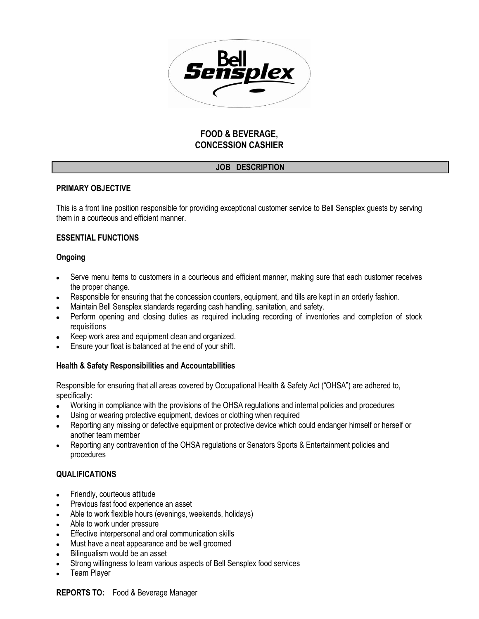

# **FOOD & BEVERAGE, CONCESSION CASHIER**

### **JOB DESCRIPTION**

### **PRIMARY OBJECTIVE**

This is a front line position responsible for providing exceptional customer service to Bell Sensplex guests by serving them in a courteous and efficient manner.

### **ESSENTIAL FUNCTIONS**

### **Ongoing**

- Serve menu items to customers in a courteous and efficient manner, making sure that each customer receives the proper change.
- Responsible for ensuring that the concession counters, equipment, and tills are kept in an orderly fashion.
- Maintain Bell Sensplex standards regarding cash handling, sanitation, and safety.
- Perform opening and closing duties as required including recording of inventories and completion of stock requisitions
- Keep work area and equipment clean and organized.
- Ensure your float is balanced at the end of your shift.

## **Health & Safety Responsibilities and Accountabilities**

Responsible for ensuring that all areas covered by Occupational Health & Safety Act ("OHSA") are adhered to, specifically:

- Working in compliance with the provisions of the OHSA regulations and internal policies and procedures
- Using or wearing protective equipment, devices or clothing when required
- Reporting any missing or defective equipment or protective device which could endanger himself or herself or  $\bullet$ another team member
- Reporting any contravention of the OHSA regulations or Senators Sports & Entertainment policies and procedures

## **QUALIFICATIONS**

- Friendly, courteous attitude
- Previous fast food experience an asset
- Able to work flexible hours (evenings, weekends, holidays)
- Able to work under pressure
- Effective interpersonal and oral communication skills
- Must have a neat appearance and be well groomed
- Bilingualism would be an asset
- Strong willingness to learn various aspects of Bell Sensplex food services
- Team Player  $\bullet$

#### **REPORTS TO:** Food & Beverage Manager